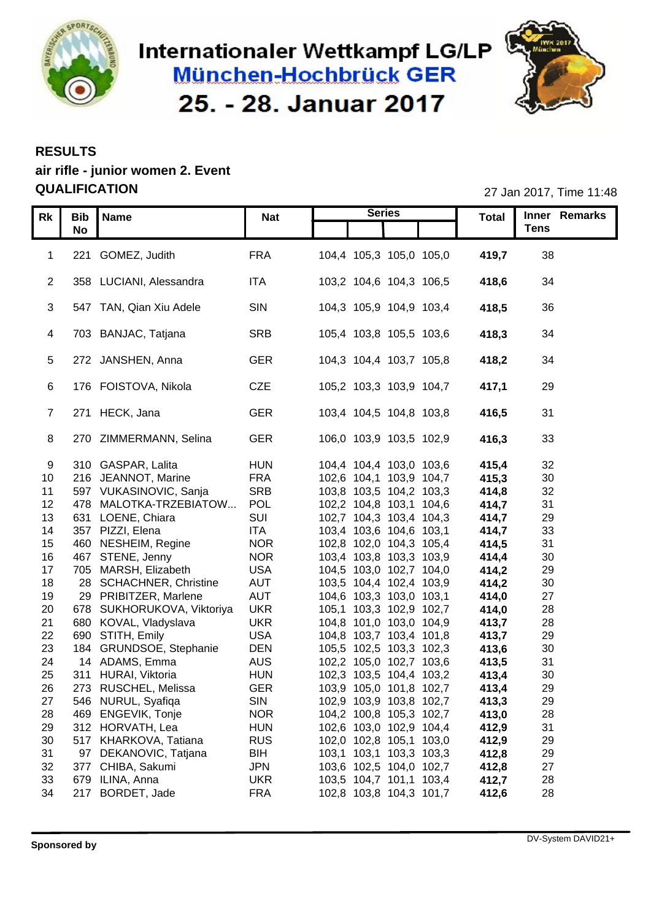

# Internationaler Wettkampf LG/LP **München-Hochbrück GER** 25. - 28. Januar 2017



### **RESULTS**

## **air rifle - junior women 2. Event QUALIFICATION** 27 Jan 2017, Time 11:48

| Rk                    |                     | Bib Name                                         | <b>Nat</b>        | <b>Series</b>                                      | <b>Total</b>   | Inner Remarks      |
|-----------------------|---------------------|--------------------------------------------------|-------------------|----------------------------------------------------|----------------|--------------------|
|                       | <b>No</b>           |                                                  |                   |                                                    |                | <b>Tens</b>        |
|                       |                     |                                                  |                   |                                                    |                |                    |
|                       |                     | 221 GOMEZ, Judith                                | <b>FRA</b>        | 104,4 105,3 105,0 105,0                            | 419,7          | 38                 |
|                       |                     |                                                  |                   |                                                    |                |                    |
|                       |                     | 2 358 LUCIANI, Alessandra                        | <b>ITA</b>        | 103,2 104,6 104,3 106,5                            | 418,6          | 34                 |
|                       |                     | 3 547 TAN, Qian Xiu Adele                        | SIN               | 104,3 105,9 104,9 103,4                            | 418,5          | 36                 |
|                       |                     |                                                  |                   |                                                    |                |                    |
|                       |                     | 4 703 BANJAC, Tatjana                            | SRB               | 105,4 103,8 105,5 103,6                            | 418,3          | 34                 |
|                       |                     |                                                  |                   |                                                    |                |                    |
|                       |                     | 5 272 JANSHEN, Anna                              | <b>GER</b>        | 104,3 104,4 103,7 105,8                            | 418,2          | 34                 |
|                       |                     |                                                  |                   |                                                    |                |                    |
|                       |                     | 6 176 FOISTOVA, Nikola                           | CZE               | 105,2 103,3 103,9 104,7                            | 417,1          | 29                 |
|                       |                     |                                                  |                   |                                                    |                |                    |
|                       |                     | 7 271 HECK, Jana                                 | <b>GER</b>        | 103,4 104,5 104,8 103,8                            | 416,5          | 31                 |
|                       |                     |                                                  |                   |                                                    |                |                    |
|                       |                     | 270 ZIMMERMANN, Selina                           | <b>GER</b>        | 106,0 103,9 103,5 102,9                            | 416,3          | 33                 |
|                       |                     |                                                  |                   |                                                    |                |                    |
| 9                     |                     | 310 GASPAR, Lalita                               | <b>HUN</b>        | 104,4 104,4 103,0 103,6                            | 415,4          | 32                 |
|                       |                     | 10 216 JEANNOT, Marine<br>597 VUKASINOVIC, Sanja | <b>FRA</b>        | 102,6 104,1 103,9 104,7                            | 415,3          | $30\,$             |
| 11                    |                     | 478 MALOTKA-TRZEBIATOW                           | <b>SRB</b><br>POL | 103,8 103,5 104,2 103,3                            | 414,8          | 32<br>31           |
| 12 <sup>2</sup><br>13 |                     | 631 LOENE, Chiara                                | SUI               | 102,2 104,8 103,1 104,6<br>102,7 104,3 103,4 104,3 | 414,7<br>414,7 | 29                 |
| 14                    |                     | 357 PIZZI, Elena                                 | <b>ITA</b>        | 103,4 103,6 104,6 103,1                            | 414,7          | 33                 |
| 15                    |                     | 460 NESHEIM, Regine                              | <b>NOR</b>        | 102,8 102,0 104,3 105,4                            | 414,5          | 31                 |
| 16                    |                     | 467 STENE, Jenny                                 | <b>NOR</b>        | 103,4 103,8 103,3 103,9                            | 414,4          | 30                 |
| 17                    |                     | 705 MARSH, Elizabeth                             | <b>USA</b>        | 104,5 103,0 102,7 104,0                            | 414,2          | 29                 |
| 18                    |                     | 28 SCHACHNER, Christine                          | AUT               | 103,5 104,4 102,4 103,9                            | 414,2          | 30                 |
| 19                    |                     | 29 PRIBITZER, Marlene                            | AUT               | 104,6 103,3 103,0 103,1                            | 414,0          | 27                 |
| 20                    |                     | 678 SUKHORUKOVA, Viktoriya                       | <b>UKR</b>        | 105,1 103,3 102,9 102,7                            | 414,0          | 28                 |
| 21                    |                     | 680 KOVAL, Vladyslava                            | <b>UKR</b>        | 104,8 101,0 103,0 104,9                            | 413,7          | 28                 |
| 22                    |                     | 690 STITH, Emily                                 | <b>USA</b>        | 104,8 103,7 103,4 101,8                            | 413,7          | 29                 |
| 23                    |                     | 184 GRUNDSOE, Stephanie                          | <b>DEN</b>        | 105,5 102,5 103,3 102,3                            | 413,6          | 30                 |
| 24                    |                     | 14 ADAMS, Emma                                   | <b>AUS</b>        | 102,2 105,0 102,7 103,6                            | 413,5          | 31                 |
| 25                    |                     | 311 HURAI, Viktoria                              | <b>HUN</b>        | 102,3 103,5 104,4 103,2                            | 413,4          | 30                 |
| 26                    |                     | 273 RUSCHEL, Melissa                             | <b>GER</b>        | 103,9 105,0 101,8 102,7                            | 413,4          | 29                 |
| 27                    |                     | 546 NURUL, Syafiqa                               | SIN               | 102,9 103,9 103,8 102,7                            | 413,3          | 29                 |
| 28                    |                     | 469 ENGEVIK, Tonje                               | <b>NOR</b>        | 104,2 100,8 105,3 102,7                            | 413,0          | 28                 |
| 29                    |                     | 312 HORVATH, Lea                                 | <b>HUN</b>        | 102,6 103,0 102,9 104,4                            | 412,9          | 31                 |
| 30                    |                     | 517 KHARKOVA, Tatiana                            | <b>RUS</b>        | 102,0 102,8 105,1 103,0                            | 412,9          | 29                 |
| 31                    |                     | 97 DEKANOVIC, Tatjana                            | <b>BIH</b>        | 103,1 103,1 103,3 103,3                            | 412,8          | 29                 |
| 32                    |                     | 377 CHIBA, Sakumi                                | <b>JPN</b>        | 103,6 102,5 104,0 102,7                            | 412,8          | 27                 |
| 33                    |                     | 679 ILINA, Anna                                  | <b>UKR</b>        | 103,5 104,7 101,1 103,4                            | 412,7          | 28                 |
| 34                    |                     | 217 BORDET, Jade                                 | <b>FRA</b>        | 102,8 103,8 104,3 101,7                            | 412,6          | 28                 |
|                       |                     |                                                  |                   |                                                    |                |                    |
|                       |                     |                                                  |                   |                                                    |                |                    |
|                       |                     |                                                  |                   |                                                    |                | DV-System DAVID21+ |
|                       | <b>Sponsored by</b> |                                                  |                   |                                                    |                |                    |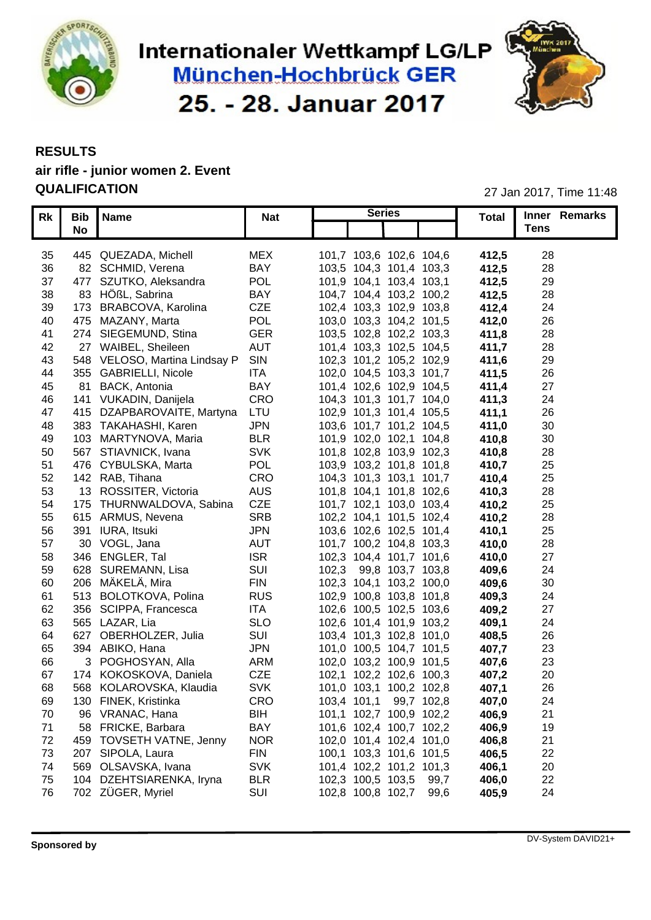

# Internationaler Wettkampf LG/LP **München-Hochbrück GER** 25. - 28. Januar 2017



## **RESULTS air rifle - junior women 2. Event**

**QUALIFICATION** 27 Jan 2017, Time 11:48

| <b>Tens</b><br>No<br>28<br>445 QUEZADA, Michell<br><b>MEX</b><br>101,7 103,6 102,6 104,6<br>412,5<br><b>BAY</b><br>412,5<br>28<br>36<br>82 SCHMID, Verena<br>103,5 104,3 101,4 103,3<br>POL<br>412,5<br>29<br>477 SZUTKO, Aleksandra<br>101,9 104,1 103,4 103,1<br>83 HÖßL, Sabrina<br><b>BAY</b><br>412,5<br>28<br>104,7 104,4 103,2 100,2<br>CZE<br>412,4<br>24<br>173 BRABCOVA, Karolina<br>102,4 103,3 102,9 103,8<br><b>POL</b><br>26<br>103,0 103,3 104,2 101,5<br>412,0<br>475 MAZANY, Marta<br><b>GER</b><br>28<br>274 SIEGEMUND, Stina<br>103,5 102,8 102,2 103,3<br>411,8<br><b>AUT</b><br>28<br>27 WAIBEL, Sheileen<br>101,4 103,3 102,5 104,5<br>411,7<br>548 VELOSO, Martina Lindsay P SIN<br>29<br>102,3 101,2 105,2 102,9<br>411,6<br>26<br>355 GABRIELLI, Nicole<br>ITA<br>102,0 104,5 103,3 101,7<br>411,5<br><b>BAY</b><br>27<br>81 BACK, Antonia<br>101,4 102,6 102,9 104,5<br>411,4<br>CRO<br>24<br>104,3 101,3 101,7 104,0<br>411,3<br>141 VUKADIN, Danijela<br>LTU<br>26<br>415 DZAPBAROVAITE, Martyna<br>102,9 101,3 101,4 105,5<br>411,1<br><b>JPN</b><br>30<br>383 TAKAHASHI, Karen<br>103,6 101,7 101,2 104,5<br>411,0<br><b>BLR</b><br>30<br>103 MARTYNOVA, Maria<br>410,8<br>101,9 102,0 102,1 104,8<br><b>SVK</b><br>28<br>567 STIAVNICK, Ivana<br>101,8 102,8 103,9 102,3<br>410,8<br><b>POL</b><br>25<br>410,7<br>476 CYBULSKA, Marta<br>103,9 103,2 101,8 101,8<br>CRO<br>25<br>142 RAB, Tihana<br>104,3 101,3 103,1 101,7<br>410,4<br><b>AUS</b><br>28<br>13 ROSSITER, Victoria<br>101,8 104,1 101,8 102,6<br>410,3<br><b>CZE</b><br>410,2<br>25<br>175 THURNWALDOVA, Sabina<br>101,7 102,1 103,0 103,4<br><b>SRB</b><br>28<br>615 ARMUS, Nevena<br>102,2 104,1 101,5 102,4<br>410,2<br><b>JPN</b><br>410,1<br>25<br>391 IURA, Itsuki<br>103,6 102,6 102,5 101,4<br><b>AUT</b><br>28<br>30 VOGL, Jana<br>101,7 100,2 104,8 103,3<br>410,0<br><b>ISR</b><br>410,0<br>27<br>346 ENGLER, Tal<br>102,3 104,4 101,7 101,6<br>SUI<br>628 SUREMANN, Lisa<br>102,3 99,8 103,7 103,8<br>409,6<br>24<br><b>FIN</b><br>30<br>409,6<br>206 MÄKELÄ, Mira<br>102,3 104,1 103,2 100,0<br><b>RUS</b><br>513 BOLOTKOVA, Polina<br>102,9 100,8 103,8 101,8<br>409,3<br>24<br>27<br><b>ITA</b><br>409,2<br>356 SCIPPA, Francesca<br>102,6 100,5 102,5 103,6<br><b>SLO</b><br>565 LAZAR, Lia<br>102,6 101,4 101,9 103,2<br>409,1<br>24<br>26<br>SUI<br>408,5<br>627 OBERHOLZER, Julia<br>103,4 101,3 102,8 101,0<br><b>JPN</b><br>407,7<br>394 ABIKO, Hana<br>101,0 100,5 104,7 101,5<br>23<br>ARM<br>407,6<br>23<br>3 POGHOSYAN, Alla<br>102,0 103,2 100,9 101,5<br>CZE<br>407,2<br>20<br>174 KOKOSKOVA, Daniela<br>102,1 102,2 102,6 100,3<br><b>SVK</b><br>568 KOLAROVSKA, Klaudia<br>407,1<br>26<br>101,0 103,1 100,2 102,8<br>CRO<br>103,4 101,1 99,7 102,8<br>407,0<br>24<br>130 FINEK, Kristinka<br><b>BIH</b><br>21<br>101,1 102,7 100,9 102,2<br>406,9<br>96 VRANAC, Hana<br>19<br><b>BAY</b><br>406,9<br>58 FRICKE, Barbara<br>101,6 102,4 100,7 102,2<br>21<br>22<br>20<br>22<br>24<br><b>NOR</b><br>102,0 101,4 102,4 101,0<br>406,8<br>406,5<br><b>FIN</b><br>100,1 103,3 101,6 101,5<br><b>SVK</b><br>101,4 102,2 101,2 101,3<br>406,1<br><b>BLR</b><br>406,0<br>102,3 100,5 103,5 99,7<br>SUI<br>102,8 100,8 102,7 99,6<br>405,9 | Rk   Bib   Name | <b>Nat</b> | <b>Series</b> | <b>Total</b> | Inner Remarks      |
|--------------------------------------------------------------------------------------------------------------------------------------------------------------------------------------------------------------------------------------------------------------------------------------------------------------------------------------------------------------------------------------------------------------------------------------------------------------------------------------------------------------------------------------------------------------------------------------------------------------------------------------------------------------------------------------------------------------------------------------------------------------------------------------------------------------------------------------------------------------------------------------------------------------------------------------------------------------------------------------------------------------------------------------------------------------------------------------------------------------------------------------------------------------------------------------------------------------------------------------------------------------------------------------------------------------------------------------------------------------------------------------------------------------------------------------------------------------------------------------------------------------------------------------------------------------------------------------------------------------------------------------------------------------------------------------------------------------------------------------------------------------------------------------------------------------------------------------------------------------------------------------------------------------------------------------------------------------------------------------------------------------------------------------------------------------------------------------------------------------------------------------------------------------------------------------------------------------------------------------------------------------------------------------------------------------------------------------------------------------------------------------------------------------------------------------------------------------------------------------------------------------------------------------------------------------------------------------------------------------------------------------------------------------------------------------------------------------------------------------------------------------------------------------------------------------------------------------------------------------------------------------------------------------------------------------------------------------------------------------------------------------------------------------------------------------------------------------------------------------------------------------------------------------------------------------------------------------------------------------------------------------|-----------------|------------|---------------|--------------|--------------------|
| 35 <sup>5</sup><br>37<br>38<br>39<br>40<br>41<br>42<br>43<br>44<br>45<br>46<br>47<br>48<br>49<br>50<br>51<br>52<br>53<br>54<br>55<br>56<br>57<br>58<br>59<br>60<br>61<br>62<br>63<br>64<br>65<br>66<br>67<br>68<br>69<br>70<br>71<br>72 459 TOVSETH VATNE, Jenny<br>73 207 SIPOLA, Laura<br>74 569 OLSAVSKA, Ivana<br>75 104 DZEHTSIARENKA, Iryna<br>76 702 ZÜGER, Myriel                                                                                                                                                                                                                                                                                                                                                                                                                                                                                                                                                                                                                                                                                                                                                                                                                                                                                                                                                                                                                                                                                                                                                                                                                                                                                                                                                                                                                                                                                                                                                                                                                                                                                                                                                                                                                                                                                                                                                                                                                                                                                                                                                                                                                                                                                                                                                                                                                                                                                                                                                                                                                                                                                                                                                                                                                                                                                    |                 |            |               |              |                    |
| <b>Sponsored by</b>                                                                                                                                                                                                                                                                                                                                                                                                                                                                                                                                                                                                                                                                                                                                                                                                                                                                                                                                                                                                                                                                                                                                                                                                                                                                                                                                                                                                                                                                                                                                                                                                                                                                                                                                                                                                                                                                                                                                                                                                                                                                                                                                                                                                                                                                                                                                                                                                                                                                                                                                                                                                                                                                                                                                                                                                                                                                                                                                                                                                                                                                                                                                                                                                                                          |                 |            |               |              |                    |
|                                                                                                                                                                                                                                                                                                                                                                                                                                                                                                                                                                                                                                                                                                                                                                                                                                                                                                                                                                                                                                                                                                                                                                                                                                                                                                                                                                                                                                                                                                                                                                                                                                                                                                                                                                                                                                                                                                                                                                                                                                                                                                                                                                                                                                                                                                                                                                                                                                                                                                                                                                                                                                                                                                                                                                                                                                                                                                                                                                                                                                                                                                                                                                                                                                                              |                 |            |               |              |                    |
|                                                                                                                                                                                                                                                                                                                                                                                                                                                                                                                                                                                                                                                                                                                                                                                                                                                                                                                                                                                                                                                                                                                                                                                                                                                                                                                                                                                                                                                                                                                                                                                                                                                                                                                                                                                                                                                                                                                                                                                                                                                                                                                                                                                                                                                                                                                                                                                                                                                                                                                                                                                                                                                                                                                                                                                                                                                                                                                                                                                                                                                                                                                                                                                                                                                              |                 |            |               |              |                    |
|                                                                                                                                                                                                                                                                                                                                                                                                                                                                                                                                                                                                                                                                                                                                                                                                                                                                                                                                                                                                                                                                                                                                                                                                                                                                                                                                                                                                                                                                                                                                                                                                                                                                                                                                                                                                                                                                                                                                                                                                                                                                                                                                                                                                                                                                                                                                                                                                                                                                                                                                                                                                                                                                                                                                                                                                                                                                                                                                                                                                                                                                                                                                                                                                                                                              |                 |            |               |              |                    |
|                                                                                                                                                                                                                                                                                                                                                                                                                                                                                                                                                                                                                                                                                                                                                                                                                                                                                                                                                                                                                                                                                                                                                                                                                                                                                                                                                                                                                                                                                                                                                                                                                                                                                                                                                                                                                                                                                                                                                                                                                                                                                                                                                                                                                                                                                                                                                                                                                                                                                                                                                                                                                                                                                                                                                                                                                                                                                                                                                                                                                                                                                                                                                                                                                                                              |                 |            |               |              |                    |
|                                                                                                                                                                                                                                                                                                                                                                                                                                                                                                                                                                                                                                                                                                                                                                                                                                                                                                                                                                                                                                                                                                                                                                                                                                                                                                                                                                                                                                                                                                                                                                                                                                                                                                                                                                                                                                                                                                                                                                                                                                                                                                                                                                                                                                                                                                                                                                                                                                                                                                                                                                                                                                                                                                                                                                                                                                                                                                                                                                                                                                                                                                                                                                                                                                                              |                 |            |               |              |                    |
|                                                                                                                                                                                                                                                                                                                                                                                                                                                                                                                                                                                                                                                                                                                                                                                                                                                                                                                                                                                                                                                                                                                                                                                                                                                                                                                                                                                                                                                                                                                                                                                                                                                                                                                                                                                                                                                                                                                                                                                                                                                                                                                                                                                                                                                                                                                                                                                                                                                                                                                                                                                                                                                                                                                                                                                                                                                                                                                                                                                                                                                                                                                                                                                                                                                              |                 |            |               |              |                    |
|                                                                                                                                                                                                                                                                                                                                                                                                                                                                                                                                                                                                                                                                                                                                                                                                                                                                                                                                                                                                                                                                                                                                                                                                                                                                                                                                                                                                                                                                                                                                                                                                                                                                                                                                                                                                                                                                                                                                                                                                                                                                                                                                                                                                                                                                                                                                                                                                                                                                                                                                                                                                                                                                                                                                                                                                                                                                                                                                                                                                                                                                                                                                                                                                                                                              |                 |            |               |              |                    |
|                                                                                                                                                                                                                                                                                                                                                                                                                                                                                                                                                                                                                                                                                                                                                                                                                                                                                                                                                                                                                                                                                                                                                                                                                                                                                                                                                                                                                                                                                                                                                                                                                                                                                                                                                                                                                                                                                                                                                                                                                                                                                                                                                                                                                                                                                                                                                                                                                                                                                                                                                                                                                                                                                                                                                                                                                                                                                                                                                                                                                                                                                                                                                                                                                                                              |                 |            |               |              |                    |
|                                                                                                                                                                                                                                                                                                                                                                                                                                                                                                                                                                                                                                                                                                                                                                                                                                                                                                                                                                                                                                                                                                                                                                                                                                                                                                                                                                                                                                                                                                                                                                                                                                                                                                                                                                                                                                                                                                                                                                                                                                                                                                                                                                                                                                                                                                                                                                                                                                                                                                                                                                                                                                                                                                                                                                                                                                                                                                                                                                                                                                                                                                                                                                                                                                                              |                 |            |               |              |                    |
|                                                                                                                                                                                                                                                                                                                                                                                                                                                                                                                                                                                                                                                                                                                                                                                                                                                                                                                                                                                                                                                                                                                                                                                                                                                                                                                                                                                                                                                                                                                                                                                                                                                                                                                                                                                                                                                                                                                                                                                                                                                                                                                                                                                                                                                                                                                                                                                                                                                                                                                                                                                                                                                                                                                                                                                                                                                                                                                                                                                                                                                                                                                                                                                                                                                              |                 |            |               |              |                    |
|                                                                                                                                                                                                                                                                                                                                                                                                                                                                                                                                                                                                                                                                                                                                                                                                                                                                                                                                                                                                                                                                                                                                                                                                                                                                                                                                                                                                                                                                                                                                                                                                                                                                                                                                                                                                                                                                                                                                                                                                                                                                                                                                                                                                                                                                                                                                                                                                                                                                                                                                                                                                                                                                                                                                                                                                                                                                                                                                                                                                                                                                                                                                                                                                                                                              |                 |            |               |              |                    |
|                                                                                                                                                                                                                                                                                                                                                                                                                                                                                                                                                                                                                                                                                                                                                                                                                                                                                                                                                                                                                                                                                                                                                                                                                                                                                                                                                                                                                                                                                                                                                                                                                                                                                                                                                                                                                                                                                                                                                                                                                                                                                                                                                                                                                                                                                                                                                                                                                                                                                                                                                                                                                                                                                                                                                                                                                                                                                                                                                                                                                                                                                                                                                                                                                                                              |                 |            |               |              |                    |
|                                                                                                                                                                                                                                                                                                                                                                                                                                                                                                                                                                                                                                                                                                                                                                                                                                                                                                                                                                                                                                                                                                                                                                                                                                                                                                                                                                                                                                                                                                                                                                                                                                                                                                                                                                                                                                                                                                                                                                                                                                                                                                                                                                                                                                                                                                                                                                                                                                                                                                                                                                                                                                                                                                                                                                                                                                                                                                                                                                                                                                                                                                                                                                                                                                                              |                 |            |               |              |                    |
|                                                                                                                                                                                                                                                                                                                                                                                                                                                                                                                                                                                                                                                                                                                                                                                                                                                                                                                                                                                                                                                                                                                                                                                                                                                                                                                                                                                                                                                                                                                                                                                                                                                                                                                                                                                                                                                                                                                                                                                                                                                                                                                                                                                                                                                                                                                                                                                                                                                                                                                                                                                                                                                                                                                                                                                                                                                                                                                                                                                                                                                                                                                                                                                                                                                              |                 |            |               |              |                    |
|                                                                                                                                                                                                                                                                                                                                                                                                                                                                                                                                                                                                                                                                                                                                                                                                                                                                                                                                                                                                                                                                                                                                                                                                                                                                                                                                                                                                                                                                                                                                                                                                                                                                                                                                                                                                                                                                                                                                                                                                                                                                                                                                                                                                                                                                                                                                                                                                                                                                                                                                                                                                                                                                                                                                                                                                                                                                                                                                                                                                                                                                                                                                                                                                                                                              |                 |            |               |              |                    |
|                                                                                                                                                                                                                                                                                                                                                                                                                                                                                                                                                                                                                                                                                                                                                                                                                                                                                                                                                                                                                                                                                                                                                                                                                                                                                                                                                                                                                                                                                                                                                                                                                                                                                                                                                                                                                                                                                                                                                                                                                                                                                                                                                                                                                                                                                                                                                                                                                                                                                                                                                                                                                                                                                                                                                                                                                                                                                                                                                                                                                                                                                                                                                                                                                                                              |                 |            |               |              |                    |
|                                                                                                                                                                                                                                                                                                                                                                                                                                                                                                                                                                                                                                                                                                                                                                                                                                                                                                                                                                                                                                                                                                                                                                                                                                                                                                                                                                                                                                                                                                                                                                                                                                                                                                                                                                                                                                                                                                                                                                                                                                                                                                                                                                                                                                                                                                                                                                                                                                                                                                                                                                                                                                                                                                                                                                                                                                                                                                                                                                                                                                                                                                                                                                                                                                                              |                 |            |               |              |                    |
|                                                                                                                                                                                                                                                                                                                                                                                                                                                                                                                                                                                                                                                                                                                                                                                                                                                                                                                                                                                                                                                                                                                                                                                                                                                                                                                                                                                                                                                                                                                                                                                                                                                                                                                                                                                                                                                                                                                                                                                                                                                                                                                                                                                                                                                                                                                                                                                                                                                                                                                                                                                                                                                                                                                                                                                                                                                                                                                                                                                                                                                                                                                                                                                                                                                              |                 |            |               |              |                    |
|                                                                                                                                                                                                                                                                                                                                                                                                                                                                                                                                                                                                                                                                                                                                                                                                                                                                                                                                                                                                                                                                                                                                                                                                                                                                                                                                                                                                                                                                                                                                                                                                                                                                                                                                                                                                                                                                                                                                                                                                                                                                                                                                                                                                                                                                                                                                                                                                                                                                                                                                                                                                                                                                                                                                                                                                                                                                                                                                                                                                                                                                                                                                                                                                                                                              |                 |            |               |              |                    |
|                                                                                                                                                                                                                                                                                                                                                                                                                                                                                                                                                                                                                                                                                                                                                                                                                                                                                                                                                                                                                                                                                                                                                                                                                                                                                                                                                                                                                                                                                                                                                                                                                                                                                                                                                                                                                                                                                                                                                                                                                                                                                                                                                                                                                                                                                                                                                                                                                                                                                                                                                                                                                                                                                                                                                                                                                                                                                                                                                                                                                                                                                                                                                                                                                                                              |                 |            |               |              |                    |
|                                                                                                                                                                                                                                                                                                                                                                                                                                                                                                                                                                                                                                                                                                                                                                                                                                                                                                                                                                                                                                                                                                                                                                                                                                                                                                                                                                                                                                                                                                                                                                                                                                                                                                                                                                                                                                                                                                                                                                                                                                                                                                                                                                                                                                                                                                                                                                                                                                                                                                                                                                                                                                                                                                                                                                                                                                                                                                                                                                                                                                                                                                                                                                                                                                                              |                 |            |               |              |                    |
|                                                                                                                                                                                                                                                                                                                                                                                                                                                                                                                                                                                                                                                                                                                                                                                                                                                                                                                                                                                                                                                                                                                                                                                                                                                                                                                                                                                                                                                                                                                                                                                                                                                                                                                                                                                                                                                                                                                                                                                                                                                                                                                                                                                                                                                                                                                                                                                                                                                                                                                                                                                                                                                                                                                                                                                                                                                                                                                                                                                                                                                                                                                                                                                                                                                              |                 |            |               |              |                    |
|                                                                                                                                                                                                                                                                                                                                                                                                                                                                                                                                                                                                                                                                                                                                                                                                                                                                                                                                                                                                                                                                                                                                                                                                                                                                                                                                                                                                                                                                                                                                                                                                                                                                                                                                                                                                                                                                                                                                                                                                                                                                                                                                                                                                                                                                                                                                                                                                                                                                                                                                                                                                                                                                                                                                                                                                                                                                                                                                                                                                                                                                                                                                                                                                                                                              |                 |            |               |              |                    |
|                                                                                                                                                                                                                                                                                                                                                                                                                                                                                                                                                                                                                                                                                                                                                                                                                                                                                                                                                                                                                                                                                                                                                                                                                                                                                                                                                                                                                                                                                                                                                                                                                                                                                                                                                                                                                                                                                                                                                                                                                                                                                                                                                                                                                                                                                                                                                                                                                                                                                                                                                                                                                                                                                                                                                                                                                                                                                                                                                                                                                                                                                                                                                                                                                                                              |                 |            |               |              |                    |
|                                                                                                                                                                                                                                                                                                                                                                                                                                                                                                                                                                                                                                                                                                                                                                                                                                                                                                                                                                                                                                                                                                                                                                                                                                                                                                                                                                                                                                                                                                                                                                                                                                                                                                                                                                                                                                                                                                                                                                                                                                                                                                                                                                                                                                                                                                                                                                                                                                                                                                                                                                                                                                                                                                                                                                                                                                                                                                                                                                                                                                                                                                                                                                                                                                                              |                 |            |               |              |                    |
|                                                                                                                                                                                                                                                                                                                                                                                                                                                                                                                                                                                                                                                                                                                                                                                                                                                                                                                                                                                                                                                                                                                                                                                                                                                                                                                                                                                                                                                                                                                                                                                                                                                                                                                                                                                                                                                                                                                                                                                                                                                                                                                                                                                                                                                                                                                                                                                                                                                                                                                                                                                                                                                                                                                                                                                                                                                                                                                                                                                                                                                                                                                                                                                                                                                              |                 |            |               |              |                    |
|                                                                                                                                                                                                                                                                                                                                                                                                                                                                                                                                                                                                                                                                                                                                                                                                                                                                                                                                                                                                                                                                                                                                                                                                                                                                                                                                                                                                                                                                                                                                                                                                                                                                                                                                                                                                                                                                                                                                                                                                                                                                                                                                                                                                                                                                                                                                                                                                                                                                                                                                                                                                                                                                                                                                                                                                                                                                                                                                                                                                                                                                                                                                                                                                                                                              |                 |            |               |              |                    |
|                                                                                                                                                                                                                                                                                                                                                                                                                                                                                                                                                                                                                                                                                                                                                                                                                                                                                                                                                                                                                                                                                                                                                                                                                                                                                                                                                                                                                                                                                                                                                                                                                                                                                                                                                                                                                                                                                                                                                                                                                                                                                                                                                                                                                                                                                                                                                                                                                                                                                                                                                                                                                                                                                                                                                                                                                                                                                                                                                                                                                                                                                                                                                                                                                                                              |                 |            |               |              |                    |
|                                                                                                                                                                                                                                                                                                                                                                                                                                                                                                                                                                                                                                                                                                                                                                                                                                                                                                                                                                                                                                                                                                                                                                                                                                                                                                                                                                                                                                                                                                                                                                                                                                                                                                                                                                                                                                                                                                                                                                                                                                                                                                                                                                                                                                                                                                                                                                                                                                                                                                                                                                                                                                                                                                                                                                                                                                                                                                                                                                                                                                                                                                                                                                                                                                                              |                 |            |               |              |                    |
|                                                                                                                                                                                                                                                                                                                                                                                                                                                                                                                                                                                                                                                                                                                                                                                                                                                                                                                                                                                                                                                                                                                                                                                                                                                                                                                                                                                                                                                                                                                                                                                                                                                                                                                                                                                                                                                                                                                                                                                                                                                                                                                                                                                                                                                                                                                                                                                                                                                                                                                                                                                                                                                                                                                                                                                                                                                                                                                                                                                                                                                                                                                                                                                                                                                              |                 |            |               |              |                    |
|                                                                                                                                                                                                                                                                                                                                                                                                                                                                                                                                                                                                                                                                                                                                                                                                                                                                                                                                                                                                                                                                                                                                                                                                                                                                                                                                                                                                                                                                                                                                                                                                                                                                                                                                                                                                                                                                                                                                                                                                                                                                                                                                                                                                                                                                                                                                                                                                                                                                                                                                                                                                                                                                                                                                                                                                                                                                                                                                                                                                                                                                                                                                                                                                                                                              |                 |            |               |              |                    |
|                                                                                                                                                                                                                                                                                                                                                                                                                                                                                                                                                                                                                                                                                                                                                                                                                                                                                                                                                                                                                                                                                                                                                                                                                                                                                                                                                                                                                                                                                                                                                                                                                                                                                                                                                                                                                                                                                                                                                                                                                                                                                                                                                                                                                                                                                                                                                                                                                                                                                                                                                                                                                                                                                                                                                                                                                                                                                                                                                                                                                                                                                                                                                                                                                                                              |                 |            |               |              |                    |
|                                                                                                                                                                                                                                                                                                                                                                                                                                                                                                                                                                                                                                                                                                                                                                                                                                                                                                                                                                                                                                                                                                                                                                                                                                                                                                                                                                                                                                                                                                                                                                                                                                                                                                                                                                                                                                                                                                                                                                                                                                                                                                                                                                                                                                                                                                                                                                                                                                                                                                                                                                                                                                                                                                                                                                                                                                                                                                                                                                                                                                                                                                                                                                                                                                                              |                 |            |               |              |                    |
|                                                                                                                                                                                                                                                                                                                                                                                                                                                                                                                                                                                                                                                                                                                                                                                                                                                                                                                                                                                                                                                                                                                                                                                                                                                                                                                                                                                                                                                                                                                                                                                                                                                                                                                                                                                                                                                                                                                                                                                                                                                                                                                                                                                                                                                                                                                                                                                                                                                                                                                                                                                                                                                                                                                                                                                                                                                                                                                                                                                                                                                                                                                                                                                                                                                              |                 |            |               |              |                    |
|                                                                                                                                                                                                                                                                                                                                                                                                                                                                                                                                                                                                                                                                                                                                                                                                                                                                                                                                                                                                                                                                                                                                                                                                                                                                                                                                                                                                                                                                                                                                                                                                                                                                                                                                                                                                                                                                                                                                                                                                                                                                                                                                                                                                                                                                                                                                                                                                                                                                                                                                                                                                                                                                                                                                                                                                                                                                                                                                                                                                                                                                                                                                                                                                                                                              |                 |            |               |              |                    |
|                                                                                                                                                                                                                                                                                                                                                                                                                                                                                                                                                                                                                                                                                                                                                                                                                                                                                                                                                                                                                                                                                                                                                                                                                                                                                                                                                                                                                                                                                                                                                                                                                                                                                                                                                                                                                                                                                                                                                                                                                                                                                                                                                                                                                                                                                                                                                                                                                                                                                                                                                                                                                                                                                                                                                                                                                                                                                                                                                                                                                                                                                                                                                                                                                                                              |                 |            |               |              |                    |
|                                                                                                                                                                                                                                                                                                                                                                                                                                                                                                                                                                                                                                                                                                                                                                                                                                                                                                                                                                                                                                                                                                                                                                                                                                                                                                                                                                                                                                                                                                                                                                                                                                                                                                                                                                                                                                                                                                                                                                                                                                                                                                                                                                                                                                                                                                                                                                                                                                                                                                                                                                                                                                                                                                                                                                                                                                                                                                                                                                                                                                                                                                                                                                                                                                                              |                 |            |               |              |                    |
|                                                                                                                                                                                                                                                                                                                                                                                                                                                                                                                                                                                                                                                                                                                                                                                                                                                                                                                                                                                                                                                                                                                                                                                                                                                                                                                                                                                                                                                                                                                                                                                                                                                                                                                                                                                                                                                                                                                                                                                                                                                                                                                                                                                                                                                                                                                                                                                                                                                                                                                                                                                                                                                                                                                                                                                                                                                                                                                                                                                                                                                                                                                                                                                                                                                              |                 |            |               |              |                    |
|                                                                                                                                                                                                                                                                                                                                                                                                                                                                                                                                                                                                                                                                                                                                                                                                                                                                                                                                                                                                                                                                                                                                                                                                                                                                                                                                                                                                                                                                                                                                                                                                                                                                                                                                                                                                                                                                                                                                                                                                                                                                                                                                                                                                                                                                                                                                                                                                                                                                                                                                                                                                                                                                                                                                                                                                                                                                                                                                                                                                                                                                                                                                                                                                                                                              |                 |            |               |              |                    |
|                                                                                                                                                                                                                                                                                                                                                                                                                                                                                                                                                                                                                                                                                                                                                                                                                                                                                                                                                                                                                                                                                                                                                                                                                                                                                                                                                                                                                                                                                                                                                                                                                                                                                                                                                                                                                                                                                                                                                                                                                                                                                                                                                                                                                                                                                                                                                                                                                                                                                                                                                                                                                                                                                                                                                                                                                                                                                                                                                                                                                                                                                                                                                                                                                                                              |                 |            |               |              |                    |
|                                                                                                                                                                                                                                                                                                                                                                                                                                                                                                                                                                                                                                                                                                                                                                                                                                                                                                                                                                                                                                                                                                                                                                                                                                                                                                                                                                                                                                                                                                                                                                                                                                                                                                                                                                                                                                                                                                                                                                                                                                                                                                                                                                                                                                                                                                                                                                                                                                                                                                                                                                                                                                                                                                                                                                                                                                                                                                                                                                                                                                                                                                                                                                                                                                                              |                 |            |               |              |                    |
|                                                                                                                                                                                                                                                                                                                                                                                                                                                                                                                                                                                                                                                                                                                                                                                                                                                                                                                                                                                                                                                                                                                                                                                                                                                                                                                                                                                                                                                                                                                                                                                                                                                                                                                                                                                                                                                                                                                                                                                                                                                                                                                                                                                                                                                                                                                                                                                                                                                                                                                                                                                                                                                                                                                                                                                                                                                                                                                                                                                                                                                                                                                                                                                                                                                              |                 |            |               |              |                    |
|                                                                                                                                                                                                                                                                                                                                                                                                                                                                                                                                                                                                                                                                                                                                                                                                                                                                                                                                                                                                                                                                                                                                                                                                                                                                                                                                                                                                                                                                                                                                                                                                                                                                                                                                                                                                                                                                                                                                                                                                                                                                                                                                                                                                                                                                                                                                                                                                                                                                                                                                                                                                                                                                                                                                                                                                                                                                                                                                                                                                                                                                                                                                                                                                                                                              |                 |            |               |              |                    |
|                                                                                                                                                                                                                                                                                                                                                                                                                                                                                                                                                                                                                                                                                                                                                                                                                                                                                                                                                                                                                                                                                                                                                                                                                                                                                                                                                                                                                                                                                                                                                                                                                                                                                                                                                                                                                                                                                                                                                                                                                                                                                                                                                                                                                                                                                                                                                                                                                                                                                                                                                                                                                                                                                                                                                                                                                                                                                                                                                                                                                                                                                                                                                                                                                                                              |                 |            |               |              |                    |
|                                                                                                                                                                                                                                                                                                                                                                                                                                                                                                                                                                                                                                                                                                                                                                                                                                                                                                                                                                                                                                                                                                                                                                                                                                                                                                                                                                                                                                                                                                                                                                                                                                                                                                                                                                                                                                                                                                                                                                                                                                                                                                                                                                                                                                                                                                                                                                                                                                                                                                                                                                                                                                                                                                                                                                                                                                                                                                                                                                                                                                                                                                                                                                                                                                                              |                 |            |               |              |                    |
|                                                                                                                                                                                                                                                                                                                                                                                                                                                                                                                                                                                                                                                                                                                                                                                                                                                                                                                                                                                                                                                                                                                                                                                                                                                                                                                                                                                                                                                                                                                                                                                                                                                                                                                                                                                                                                                                                                                                                                                                                                                                                                                                                                                                                                                                                                                                                                                                                                                                                                                                                                                                                                                                                                                                                                                                                                                                                                                                                                                                                                                                                                                                                                                                                                                              |                 |            |               |              |                    |
|                                                                                                                                                                                                                                                                                                                                                                                                                                                                                                                                                                                                                                                                                                                                                                                                                                                                                                                                                                                                                                                                                                                                                                                                                                                                                                                                                                                                                                                                                                                                                                                                                                                                                                                                                                                                                                                                                                                                                                                                                                                                                                                                                                                                                                                                                                                                                                                                                                                                                                                                                                                                                                                                                                                                                                                                                                                                                                                                                                                                                                                                                                                                                                                                                                                              |                 |            |               |              |                    |
|                                                                                                                                                                                                                                                                                                                                                                                                                                                                                                                                                                                                                                                                                                                                                                                                                                                                                                                                                                                                                                                                                                                                                                                                                                                                                                                                                                                                                                                                                                                                                                                                                                                                                                                                                                                                                                                                                                                                                                                                                                                                                                                                                                                                                                                                                                                                                                                                                                                                                                                                                                                                                                                                                                                                                                                                                                                                                                                                                                                                                                                                                                                                                                                                                                                              |                 |            |               |              |                    |
|                                                                                                                                                                                                                                                                                                                                                                                                                                                                                                                                                                                                                                                                                                                                                                                                                                                                                                                                                                                                                                                                                                                                                                                                                                                                                                                                                                                                                                                                                                                                                                                                                                                                                                                                                                                                                                                                                                                                                                                                                                                                                                                                                                                                                                                                                                                                                                                                                                                                                                                                                                                                                                                                                                                                                                                                                                                                                                                                                                                                                                                                                                                                                                                                                                                              |                 |            |               |              | DV-System DAVID21+ |